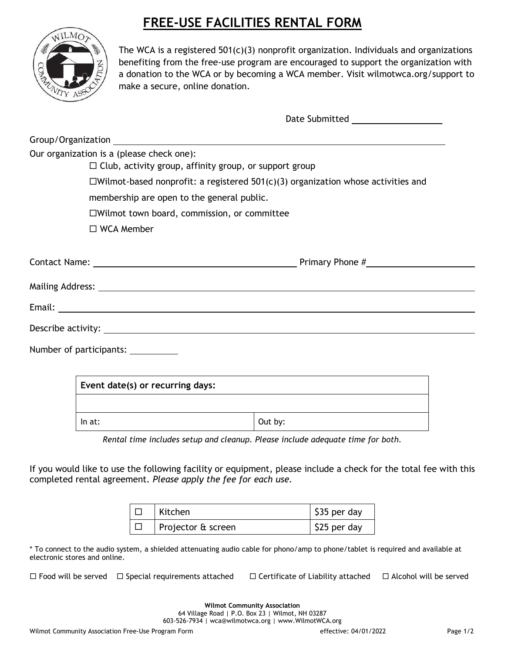## **FREE-USE FACILITIES RENTAL FORM**



The WCA is a registered  $501(c)(3)$  nonprofit organization. Individuals and organizations benefiting from the free-use program are encouraged to support the organization with a donation to the WCA or by becoming a WCA member. Visit wilmotwca.org/support to make a secure, online donation.

|                                                               | Date Submitted _____________________                                                    |  |
|---------------------------------------------------------------|-----------------------------------------------------------------------------------------|--|
|                                                               |                                                                                         |  |
| Our organization is a (please check one):                     |                                                                                         |  |
| $\Box$ Club, activity group, affinity group, or support group |                                                                                         |  |
|                                                               | $\Box$ Wilmot-based nonprofit: a registered 501(c)(3) organization whose activities and |  |
| membership are open to the general public.                    |                                                                                         |  |
| □Wilmot town board, commission, or committee                  |                                                                                         |  |
| $\Box$ WCA Member                                             |                                                                                         |  |
|                                                               |                                                                                         |  |
|                                                               |                                                                                         |  |
|                                                               |                                                                                         |  |
|                                                               |                                                                                         |  |
|                                                               |                                                                                         |  |
| Number of participants: __________                            |                                                                                         |  |
|                                                               |                                                                                         |  |
| Event date(s) or recurring days:                              |                                                                                         |  |
|                                                               |                                                                                         |  |
|                                                               |                                                                                         |  |

*Rental time includes setup and cleanup. Please include adequate time for both.*

In at:  $|$  Out by:

If you would like to use the following facility or equipment, please include a check for the total fee with this completed rental agreement. *Please apply the fee for each use.*

| Kitchen            | $\frac{1}{2}$ \$35 per day |
|--------------------|----------------------------|
| Projector & screen | $\frac{1}{2}$ \$25 per day |

\* To connect to the audio system, a shielded attenuating audio cable for phono/amp to phone/tablet is required and available at electronic stores and online.

 $\Box$  Food will be served  $\Box$  Special requirements attached  $\Box$  Certificate of Liability attached  $\Box$  Alcohol will be served

**Wilmot Community Association** 64 Village Road | P.O. Box 23 | Wilmot, NH 03287 603-526-7934 | wca@wilmotwca.org | www.WilmotWCA.org